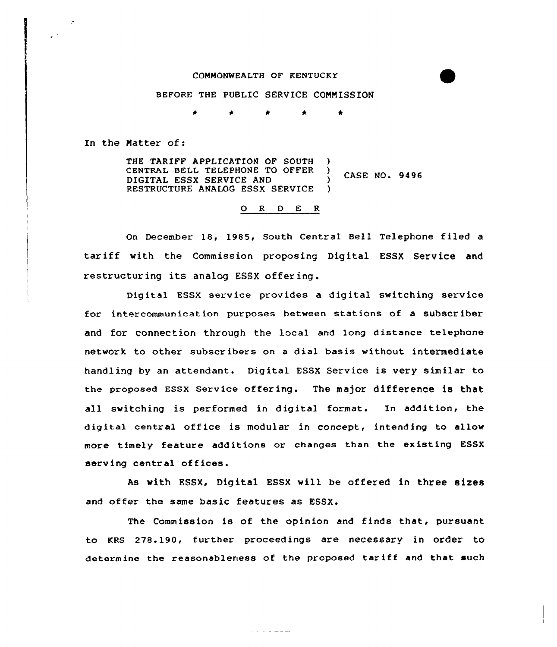## COMMONWEALTH OF KENTUCKY

## BEFORE THE PUBLIC SERVICE COMMISSION

In the Matter of <sup>s</sup>

 $\mathcal{L}$ 

THE TARIFF APPLICATION OF SOUTH CENTRAL BELL TELEPHONE TO OFFER ) DIGITAL ESSX SERVICE AND RESTRUCTURE ANALOG ESSX SERVICE ) )  $\frac{7}{1}$  CASE NO. 9496

## 0 <sup>R</sup> <sup>D</sup> E <sup>R</sup>

On December 18, 1985, South Central Bell Telephone filed a tariff with the Commission proposing Digital ESSX Service and restructuring its analog ESSX offering.

Digital ESSX service provides a digital switching service for intercommunication purposes between stations of a subscr iber and for connection through the local and long distance telephone network to other subscribers on a dial basis without intermediate handling by an attendant. Digital ESSX Service is very similar to the proposed ESSX Service offering. The major difference is that all switching is performed in digital format. In addition, the digital central office is modular in concept, intending to allow more timely feature additions or changes than the existing ESSX serving central offices.

As with ESSX, Digital ESSX will be offered in three sizes and offer the same basic features as ESSX.

The Commission is of the opinion and finds that, pursuant to KRS 278.190, further proceedings are necessary in order to determine the reasonableness of the proposed tariff and that such

 $\mathcal{L}^{\mathcal{A}}$  and  $\mathcal{L}^{\mathcal{A}}$  are the set of the set of  $\mathcal{L}^{\mathcal{A}}$